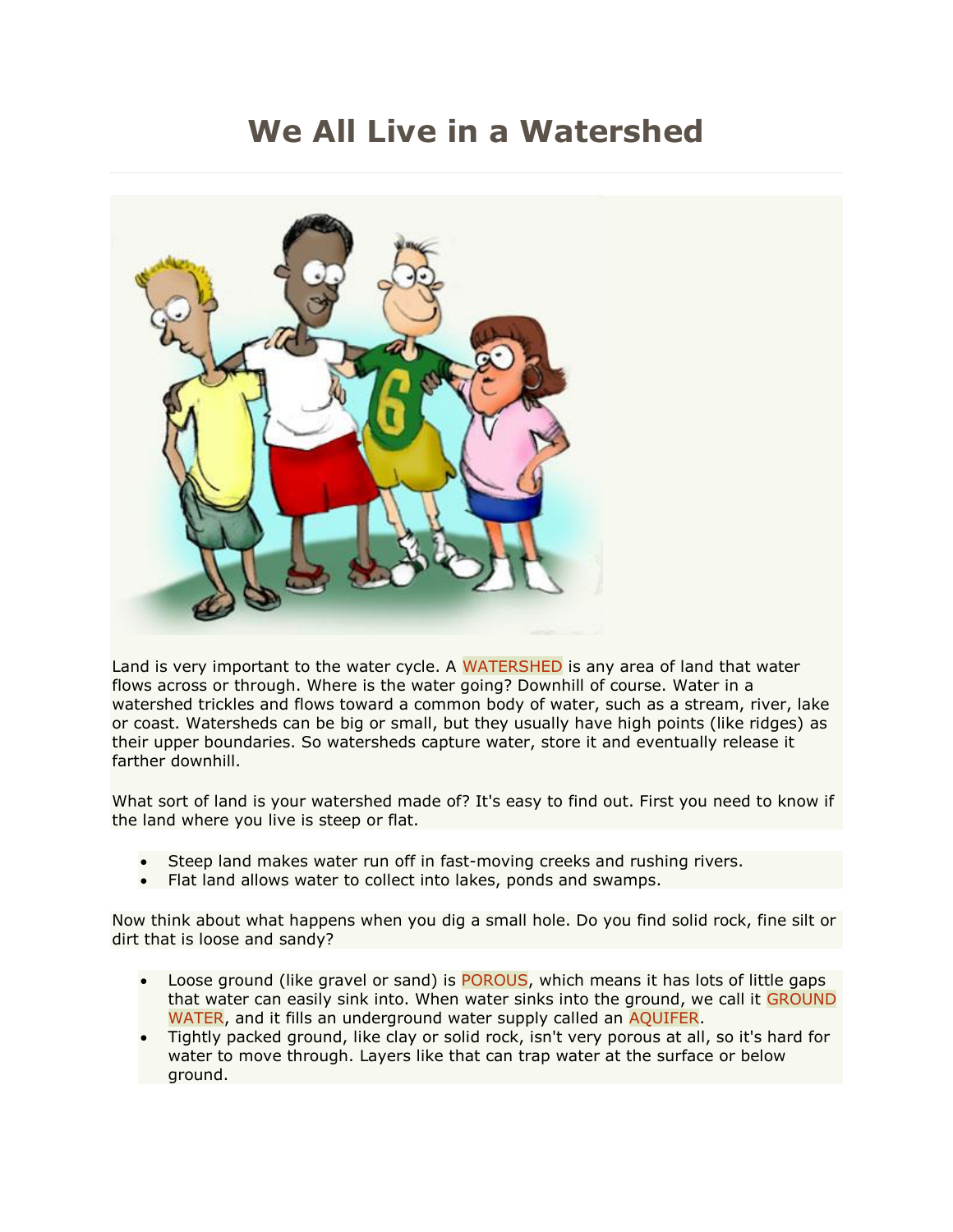## **We All Live in a Watershed**



Land is very important to the water cycle. A [WATERSHED](http://www.swfwmd.state.fl.us/education/kids/glossary/watershed/) is any area of land that water flows across or through. Where is the water going? Downhill of course. Water in a watershed trickles and flows toward a common body of water, such as a stream, river, lake or coast. Watersheds can be big or small, but they usually have high points (like ridges) as their upper boundaries. So watersheds capture water, store it and eventually release it farther downhill.

What sort of land is your watershed made of? It's easy to find out. First you need to know if the land where you live is steep or flat.

- Steep land makes water run off in fast-moving creeks and rushing rivers.
- Flat land allows water to collect into lakes, ponds and swamps.

Now think about what happens when you dig a small hole. Do you find solid rock, fine silt or dirt that is loose and sandy?

- Loose ground (like gravel or sand) is [POROUS,](http://www.swfwmd.state.fl.us/education/kids/glossary/porous/) which means it has lots of little gaps that water can easily sink into. When water sinks into the ground, we call it [GROUND](http://www.swfwmd.state.fl.us/education/kids/glossary/ground_water/)  [WATER,](http://www.swfwmd.state.fl.us/education/kids/glossary/ground_water/) and it fills an underground water supply called an [AQUIFER.](http://www.swfwmd.state.fl.us/education/kids/glossary/aquifer/)
- Tightly packed ground, like clay or solid rock, isn't very porous at all, so it's hard for water to move through. Layers like that can trap water at the surface or below ground.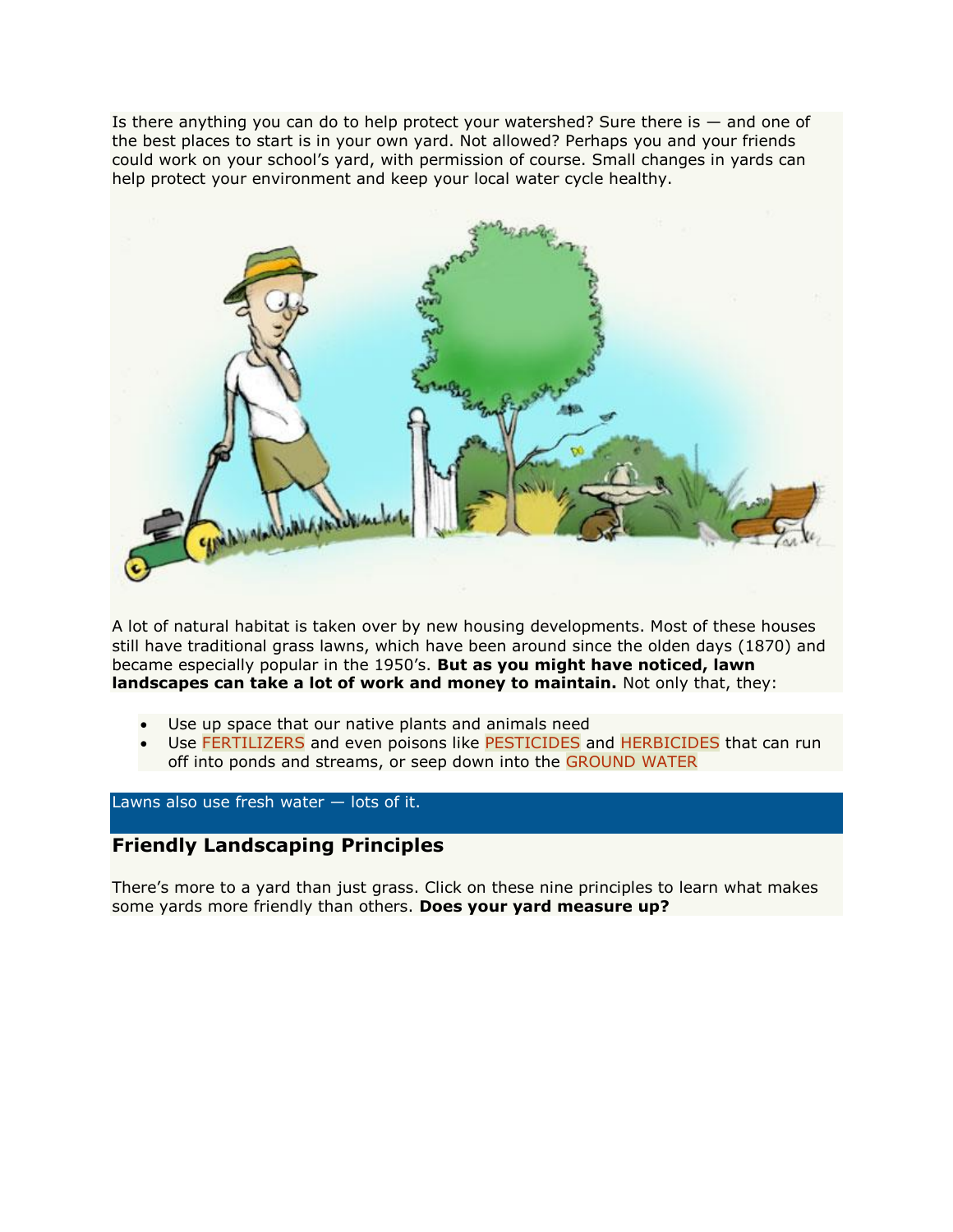Is there anything you can do to help protect your watershed? Sure there is  $-$  and one of the best places to start is in your own yard. Not allowed? Perhaps you and your friends could work on your school's yard, with permission of course. Small changes in yards can help protect your environment and keep your local water cycle healthy.



A lot of natural habitat is taken over by new housing developments. Most of these houses still have traditional grass lawns, which have been around since the olden days (1870) and became especially popular in the 1950's. **But as you might have noticed, lawn landscapes can take a lot of work and money to maintain.** Not only that, they:

- Use up space that our native plants and animals need
- Use [FERTILIZERS](http://www.swfwmd.state.fl.us/education/kids/glossary/fertilizer/) and even poisons like [PESTICIDES](http://www.swfwmd.state.fl.us/education/kids/glossary/pesticide/) and [HERBICIDES](http://www.swfwmd.state.fl.us/education/kids/glossary/herbicide/) that can run off into ponds and streams, or seep down into the [GROUND WATER](http://www.swfwmd.state.fl.us/education/kids/glossary/ground_water/)

Lawns also use fresh water — lots of it.

## **Friendly Landscaping Principles**

There's more to a yard than just grass. Click on these nine principles to learn what makes some yards more friendly than others. **Does your yard measure up?**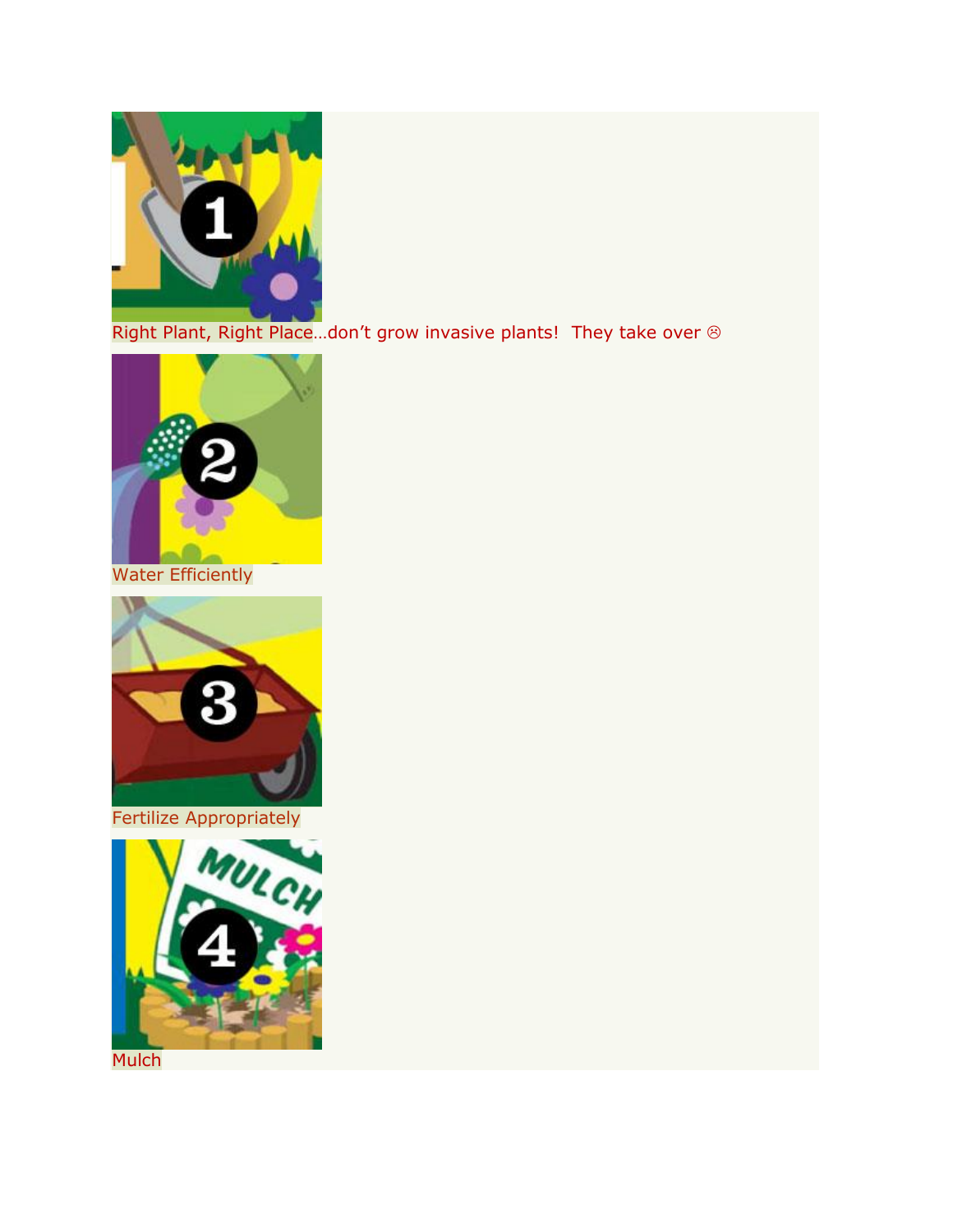

[Right Plant, Right Place](http://www.swfwmd.state.fl.us/education/kids/yards_rightplace.php)...don't grow invasive plants! They take over  $\circledast$ 



[Water Efficiently](http://www.swfwmd.state.fl.us/education/kids/yards_water.php)



[Fertilize Appropriately](http://www.swfwmd.state.fl.us/education/kids/yards_fertilize.php)



**[Mulch](http://www.swfwmd.state.fl.us/education/kids/yards_mulch.php)**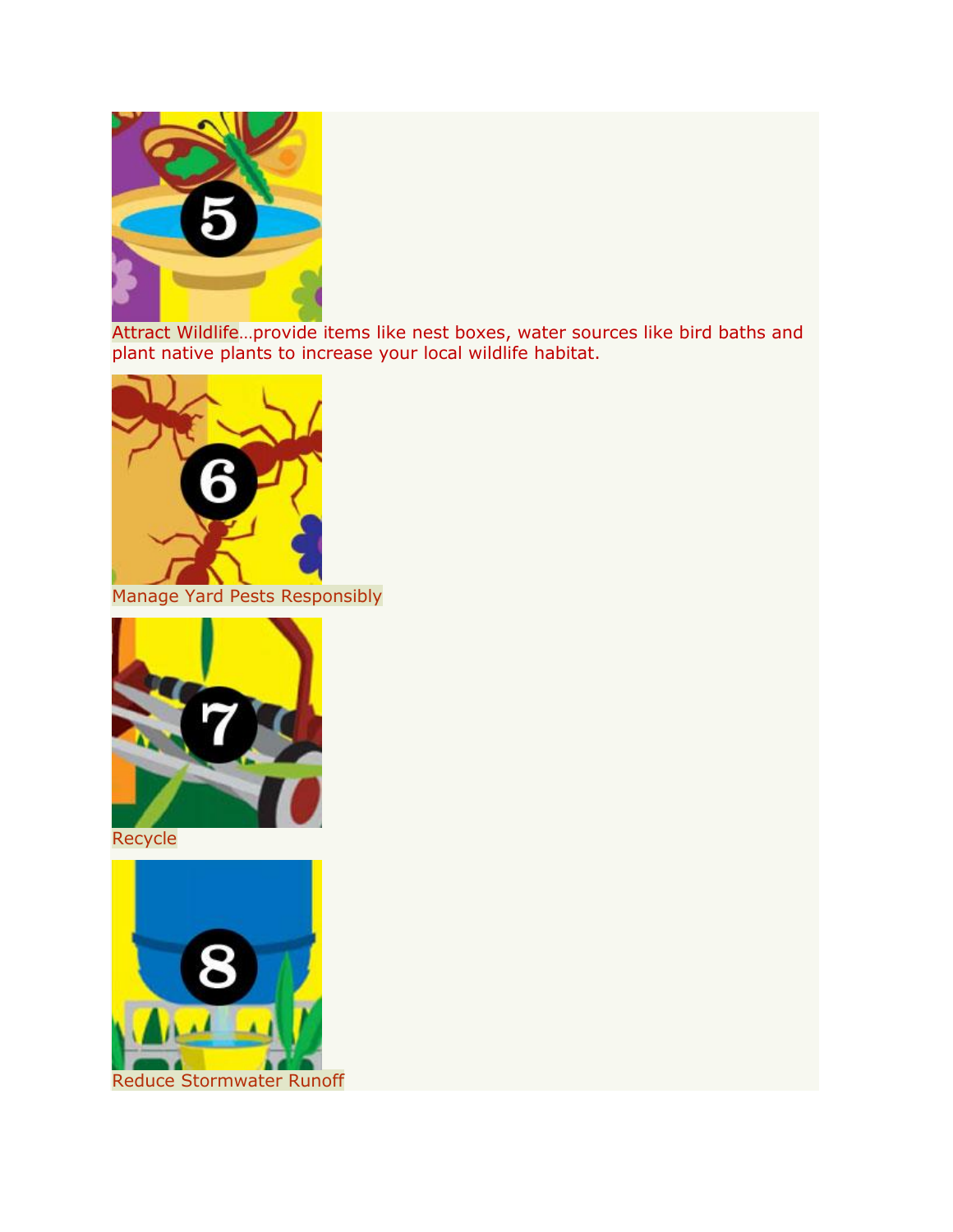

[Attract Wildlife](http://www.swfwmd.state.fl.us/education/kids/yards_wildlife.php)…provide items like nest boxes, water sources like bird baths and plant native plants to increase your local wildlife habitat.



[Manage Yard Pests Responsibly](http://www.swfwmd.state.fl.us/education/kids/yards_pests.php)



[Recycle](http://www.swfwmd.state.fl.us/education/kids/yards_recycle.php)